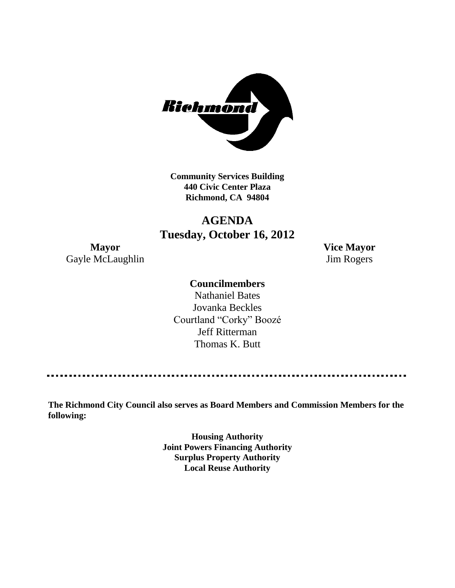

**Community Services Building 440 Civic Center Plaza Richmond, CA 94804**

## **AGENDA Tuesday, October 16, 2012**

Gayle McLaughlin Jim Rogers

**Mayor Vice Mayor**

## **Councilmembers**

Nathaniel Bates Jovanka Beckles Courtland "Corky" Boozé Jeff Ritterman Thomas K. Butt

**The Richmond City Council also serves as Board Members and Commission Members for the following:**

> **Housing Authority Joint Powers Financing Authority Surplus Property Authority Local Reuse Authority**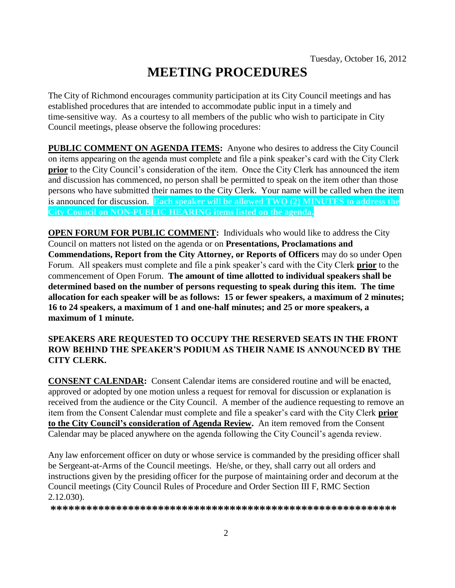# **MEETING PROCEDURES**

The City of Richmond encourages community participation at its City Council meetings and has established procedures that are intended to accommodate public input in a timely and time-sensitive way. As a courtesy to all members of the public who wish to participate in City Council meetings, please observe the following procedures:

**PUBLIC COMMENT ON AGENDA ITEMS:** Anyone who desires to address the City Council on items appearing on the agenda must complete and file a pink speaker's card with the City Clerk **prior** to the City Council's consideration of the item. Once the City Clerk has announced the item and discussion has commenced, no person shall be permitted to speak on the item other than those persons who have submitted their names to the City Clerk. Your name will be called when the item is announced for discussion. **Each speaker will be allowed TWO (2) MINUTES to address the City Council on NON-PUBLIC HEARING items listed on the agenda.**

**OPEN FORUM FOR PUBLIC COMMENT:** Individuals who would like to address the City Council on matters not listed on the agenda or on **Presentations, Proclamations and Commendations, Report from the City Attorney, or Reports of Officers** may do so under Open Forum. All speakers must complete and file a pink speaker's card with the City Clerk **prior** to the commencement of Open Forum. **The amount of time allotted to individual speakers shall be determined based on the number of persons requesting to speak during this item. The time allocation for each speaker will be as follows: 15 or fewer speakers, a maximum of 2 minutes; 16 to 24 speakers, a maximum of 1 and one-half minutes; and 25 or more speakers, a maximum of 1 minute.**

## **SPEAKERS ARE REQUESTED TO OCCUPY THE RESERVED SEATS IN THE FRONT ROW BEHIND THE SPEAKER'S PODIUM AS THEIR NAME IS ANNOUNCED BY THE CITY CLERK.**

**CONSENT CALENDAR:** Consent Calendar items are considered routine and will be enacted, approved or adopted by one motion unless a request for removal for discussion or explanation is received from the audience or the City Council. A member of the audience requesting to remove an item from the Consent Calendar must complete and file a speaker's card with the City Clerk **prior to the City Council's consideration of Agenda Review.** An item removed from the Consent Calendar may be placed anywhere on the agenda following the City Council's agenda review.

Any law enforcement officer on duty or whose service is commanded by the presiding officer shall be Sergeant-at-Arms of the Council meetings. He/she, or they, shall carry out all orders and instructions given by the presiding officer for the purpose of maintaining order and decorum at the Council meetings (City Council Rules of Procedure and Order Section III F, RMC Section 2.12.030).

**\*\*\*\*\*\*\*\*\*\*\*\*\*\*\*\*\*\*\*\*\*\*\*\*\*\*\*\*\*\*\*\*\*\*\*\*\*\*\*\*\*\*\*\*\*\*\*\*\*\*\*\*\*\*\*\*\*\***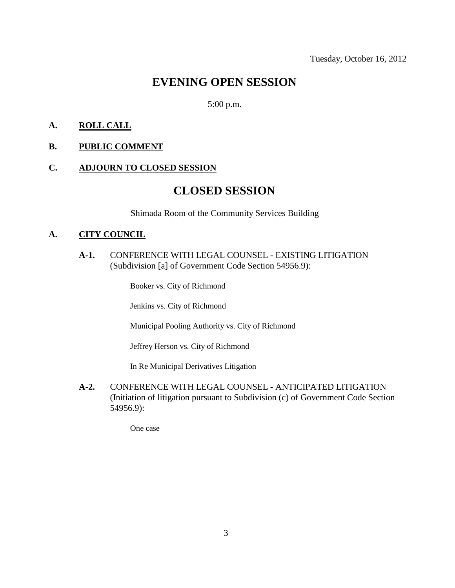## **EVENING OPEN SESSION**

## 5:00 p.m.

## **A. ROLL CALL**

## **B. PUBLIC COMMENT**

#### **C. ADJOURN TO CLOSED SESSION**

## **CLOSED SESSION**

Shimada Room of the Community Services Building

### **A. CITY COUNCIL**

**A-1.** CONFERENCE WITH LEGAL COUNSEL - EXISTING LITIGATION (Subdivision [a] of Government Code Section 54956.9):

Booker vs. City of Richmond

Jenkins vs. City of Richmond

Municipal Pooling Authority vs. City of Richmond

Jeffrey Herson vs. City of Richmond

In Re Municipal Derivatives Litigation

**A-2.** CONFERENCE WITH LEGAL COUNSEL - ANTICIPATED LITIGATION (Initiation of litigation pursuant to Subdivision (c) of Government Code Section 54956.9):

One case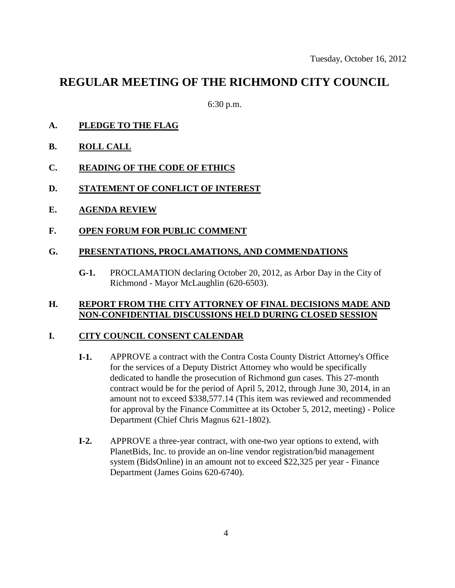## **REGULAR MEETING OF THE RICHMOND CITY COUNCIL**

6:30 p.m.

- **A. PLEDGE TO THE FLAG**
- **B. ROLL CALL**
- **C. READING OF THE CODE OF ETHICS**
- **D. STATEMENT OF CONFLICT OF INTEREST**
- **E. AGENDA REVIEW**
- **F. OPEN FORUM FOR PUBLIC COMMENT**

### **G. PRESENTATIONS, PROCLAMATIONS, AND COMMENDATIONS**

**G-1.** PROCLAMATION declaring October 20, 2012, as Arbor Day in the City of Richmond - Mayor McLaughlin (620-6503).

### **H. REPORT FROM THE CITY ATTORNEY OF FINAL DECISIONS MADE AND NON-CONFIDENTIAL DISCUSSIONS HELD DURING CLOSED SESSION**

### **I. CITY COUNCIL CONSENT CALENDAR**

- **I-1.** APPROVE a contract with the Contra Costa County District Attorney's Office for the services of a Deputy District Attorney who would be specifically dedicated to handle the prosecution of Richmond gun cases. This 27-month contract would be for the period of April 5, 2012, through June 30, 2014, in an amount not to exceed \$338,577.14 (This item was reviewed and recommended for approval by the Finance Committee at its October 5, 2012, meeting) - Police Department (Chief Chris Magnus 621-1802).
- **I-2.** APPROVE a three-year contract, with one-two year options to extend, with PlanetBids, Inc. to provide an on-line vendor registration/bid management system (BidsOnline) in an amount not to exceed \$22,325 per year - Finance Department (James Goins 620-6740).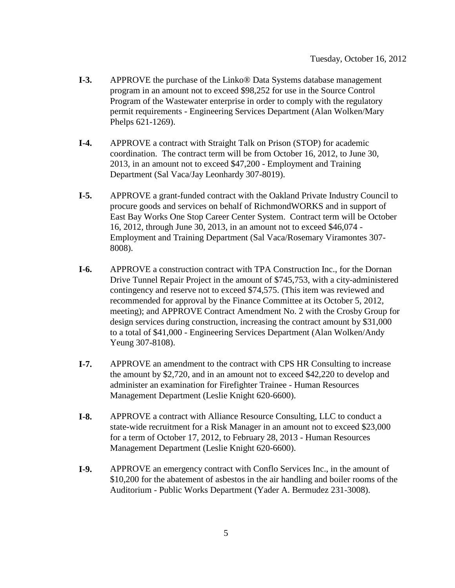- **I-3.** APPROVE the purchase of the Linko® Data Systems database management program in an amount not to exceed \$98,252 for use in the Source Control Program of the Wastewater enterprise in order to comply with the regulatory permit requirements - Engineering Services Department (Alan Wolken/Mary Phelps 621-1269).
- **I-4.** APPROVE a contract with Straight Talk on Prison (STOP) for academic coordination. The contract term will be from October 16, 2012, to June 30, 2013, in an amount not to exceed \$47,200 - Employment and Training Department (Sal Vaca/Jay Leonhardy 307-8019).
- **I-5.** APPROVE a grant-funded contract with the Oakland Private Industry Council to procure goods and services on behalf of RichmondWORKS and in support of East Bay Works One Stop Career Center System. Contract term will be October 16, 2012, through June 30, 2013, in an amount not to exceed \$46,074 - Employment and Training Department (Sal Vaca/Rosemary Viramontes 307- 8008).
- **I-6.** APPROVE a construction contract with TPA Construction Inc., for the Dornan Drive Tunnel Repair Project in the amount of \$745,753, with a city-administered contingency and reserve not to exceed \$74,575. (This item was reviewed and recommended for approval by the Finance Committee at its October 5, 2012, meeting); and APPROVE Contract Amendment No. 2 with the Crosby Group for design services during construction, increasing the contract amount by \$31,000 to a total of \$41,000 - Engineering Services Department (Alan Wolken/Andy Yeung 307-8108).
- **I-7.** APPROVE an amendment to the contract with CPS HR Consulting to increase the amount by \$2,720, and in an amount not to exceed \$42,220 to develop and administer an examination for Firefighter Trainee - Human Resources Management Department (Leslie Knight 620-6600).
- **I-8.** APPROVE a contract with Alliance Resource Consulting, LLC to conduct a state-wide recruitment for a Risk Manager in an amount not to exceed \$23,000 for a term of October 17, 2012, to February 28, 2013 - Human Resources Management Department (Leslie Knight 620-6600).
- **I-9.** APPROVE an emergency contract with Conflo Services Inc., in the amount of \$10,200 for the abatement of asbestos in the air handling and boiler rooms of the Auditorium - Public Works Department (Yader A. Bermudez 231-3008).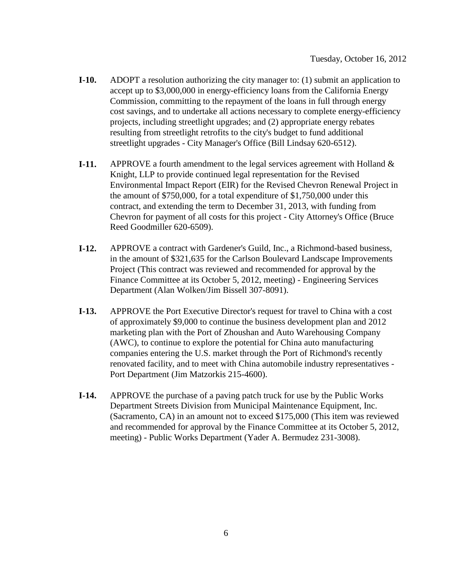- **I-10.** ADOPT a resolution authorizing the city manager to: (1) submit an application to accept up to \$3,000,000 in energy-efficiency loans from the California Energy Commission, committing to the repayment of the loans in full through energy cost savings, and to undertake all actions necessary to complete energy-efficiency projects, including streetlight upgrades; and (2) appropriate energy rebates resulting from streetlight retrofits to the city's budget to fund additional streetlight upgrades - City Manager's Office (Bill Lindsay 620-6512).
- **I-11.** APPROVE a fourth amendment to the legal services agreement with Holland & Knight, LLP to provide continued legal representation for the Revised Environmental Impact Report (EIR) for the Revised Chevron Renewal Project in the amount of \$750,000, for a total expenditure of \$1,750,000 under this contract, and extending the term to December 31, 2013, with funding from Chevron for payment of all costs for this project - City Attorney's Office (Bruce Reed Goodmiller 620-6509).
- **I-12.** APPROVE a contract with Gardener's Guild, Inc., a Richmond-based business, in the amount of \$321,635 for the Carlson Boulevard Landscape Improvements Project (This contract was reviewed and recommended for approval by the Finance Committee at its October 5, 2012, meeting) - Engineering Services Department (Alan Wolken/Jim Bissell 307-8091).
- **I-13.** APPROVE the Port Executive Director's request for travel to China with a cost of approximately \$9,000 to continue the business development plan and 2012 marketing plan with the Port of Zhoushan and Auto Warehousing Company (AWC), to continue to explore the potential for China auto manufacturing companies entering the U.S. market through the Port of Richmond's recently renovated facility, and to meet with China automobile industry representatives - Port Department (Jim Matzorkis 215-4600).
- **I-14.** APPROVE the purchase of a paving patch truck for use by the Public Works Department Streets Division from Municipal Maintenance Equipment, Inc. (Sacramento, CA) in an amount not to exceed \$175,000 (This item was reviewed and recommended for approval by the Finance Committee at its October 5, 2012, meeting) - Public Works Department (Yader A. Bermudez 231-3008).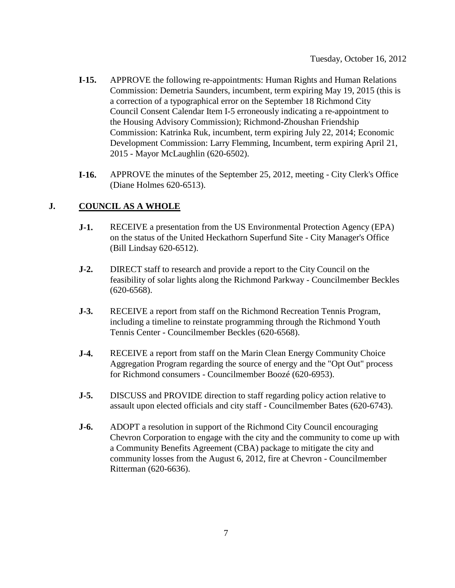- **I-15.** APPROVE the following re-appointments: Human Rights and Human Relations Commission: Demetria Saunders, incumbent, term expiring May 19, 2015 (this is a correction of a typographical error on the September 18 Richmond City Council Consent Calendar Item I-5 erroneously indicating a re-appointment to the Housing Advisory Commission); Richmond-Zhoushan Friendship Commission: Katrinka Ruk, incumbent, term expiring July 22, 2014; Economic Development Commission: Larry Flemming, Incumbent, term expiring April 21, 2015 - Mayor McLaughlin (620-6502).
- **I-16.** APPROVE the minutes of the September 25, 2012, meeting City Clerk's Office (Diane Holmes 620-6513).

## **J. COUNCIL AS A WHOLE**

- **J-1.** RECEIVE a presentation from the US Environmental Protection Agency (EPA) on the status of the United Heckathorn Superfund Site - City Manager's Office (Bill Lindsay 620-6512).
- **J-2.** DIRECT staff to research and provide a report to the City Council on the feasibility of solar lights along the Richmond Parkway - Councilmember Beckles (620-6568).
- **J-3.** RECEIVE a report from staff on the Richmond Recreation Tennis Program, including a timeline to reinstate programming through the Richmond Youth Tennis Center - Councilmember Beckles (620-6568).
- **J-4.** RECEIVE a report from staff on the Marin Clean Energy Community Choice Aggregation Program regarding the source of energy and the "Opt Out" process for Richmond consumers - Councilmember Boozé (620-6953).
- **J-5.** DISCUSS and PROVIDE direction to staff regarding policy action relative to assault upon elected officials and city staff - Councilmember Bates (620-6743).
- **J-6.** ADOPT a resolution in support of the Richmond City Council encouraging Chevron Corporation to engage with the city and the community to come up with a Community Benefits Agreement (CBA) package to mitigate the city and community losses from the August 6, 2012, fire at Chevron - Councilmember Ritterman (620-6636).